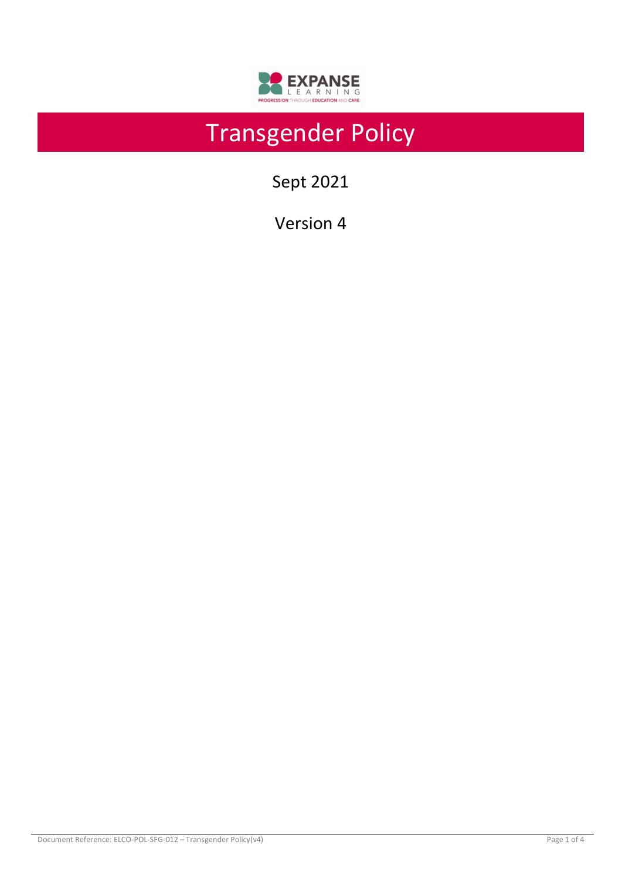

# Transgender Policy

Sept 2021

Version 4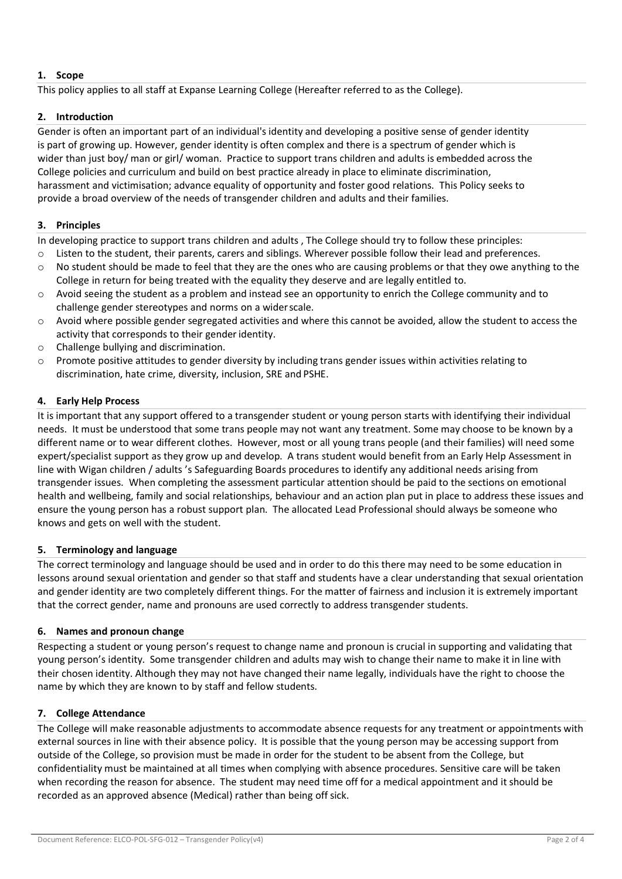# **1. Scope**

This policy applies to all staff at Expanse Learning College (Hereafter referred to as the College).

## **2. Introduction**

Gender is often an important part of an individual's identity and developing a positive sense of gender identity is part of growing up. However, gender identity is often complex and there is a spectrum of gender which is wider than just boy/ man or girl/ woman. Practice to support trans children and adults is embedded across the College policies and curriculum and build on best practice already in place to eliminate discrimination, harassment and victimisation; advance equality of opportunity and foster good relations. This Policy seeks to provide a broad overview of the needs of transgender children and adults and their families.

# **3. Principles**

In developing practice to support trans children and adults , The College should try to follow these principles:

- o Listen to the student, their parents, carers and siblings. Wherever possible follow their lead and preferences.
- o No student should be made to feel that they are the ones who are causing problems or that they owe anything to the College in return for being treated with the equality they deserve and are legally entitled to.
- $\circ$  Avoid seeing the student as a problem and instead see an opportunity to enrich the College community and to challenge gender stereotypes and norms on a widerscale.
- $\circ$  Avoid where possible gender segregated activities and where this cannot be avoided, allow the student to access the activity that corresponds to their genderidentity.
- o Challenge bullying and discrimination.
- $\circ$  Promote positive attitudes to gender diversity by including trans gender issues within activities relating to discrimination, hate crime, diversity, inclusion, SRE and PSHE.

# **4. Early Help Process**

It is important that any support offered to a transgender student or young person starts with identifying their individual needs. It must be understood that some trans people may not want any treatment. Some may choose to be known by a different name or to wear different clothes. However, most or all young trans people (and their families) will need some expert/specialist support as they grow up and develop. A trans student would benefit from an Early Help Assessment in line with Wigan children / adults 's Safeguarding Boards procedures to identify any additional needs arising from transgender issues. When completing the assessment particular attention should be paid to the sections on emotional health and wellbeing, family and social relationships, behaviour and an action plan put in place to address these issues and ensure the young person has a robust support plan. The allocated Lead Professional should always be someone who knows and gets on well with the student.

## **5. Terminology and language**

The correct terminology and language should be used and in order to do this there may need to be some education in lessons around sexual orientation and gender so that staff and students have a clear understanding that sexual orientation and gender identity are two completely different things. For the matter of fairness and inclusion it is extremely important that the correct gender, name and pronouns are used correctly to address transgender students.

## **6. Names and pronoun change**

Respecting a student or young person's request to change name and pronoun is crucial in supporting and validating that young person's identity. Some transgender children and adults may wish to change their name to make it in line with their chosen identity. Although they may not have changed their name legally, individuals have the right to choose the name by which they are known to by staff and fellow students.

## **7. College Attendance**

The College will make reasonable adjustments to accommodate absence requests for any treatment or appointments with external sources in line with their absence policy. It is possible that the young person may be accessing support from outside of the College, so provision must be made in order for the student to be absent from the College, but confidentiality must be maintained at all times when complying with absence procedures. Sensitive care will be taken when recording the reason for absence. The student may need time off for a medical appointment and it should be recorded as an approved absence (Medical) rather than being off sick.